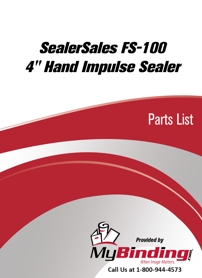## SealerSales FS-100 [4" Hand Impulse Sealer](https://www.mybinding.com/sealersales-fs-100-4-hand-impulse-sealer.html)





Call Us at 1-800-944-4573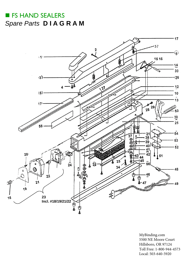## **FS HAND SEALERS** *S[pare Parts](https://www.mybinding.com/sealersales-fs-100-4-hand-impulse-sealer.html)* **D IA G R A M**



[MyBinding.com](http://www.mybinding.com) 5500 NE Moore Court Hillsboro, OR 97124 Toll Free: 1-800-944-4573 Local: 503-640-5920